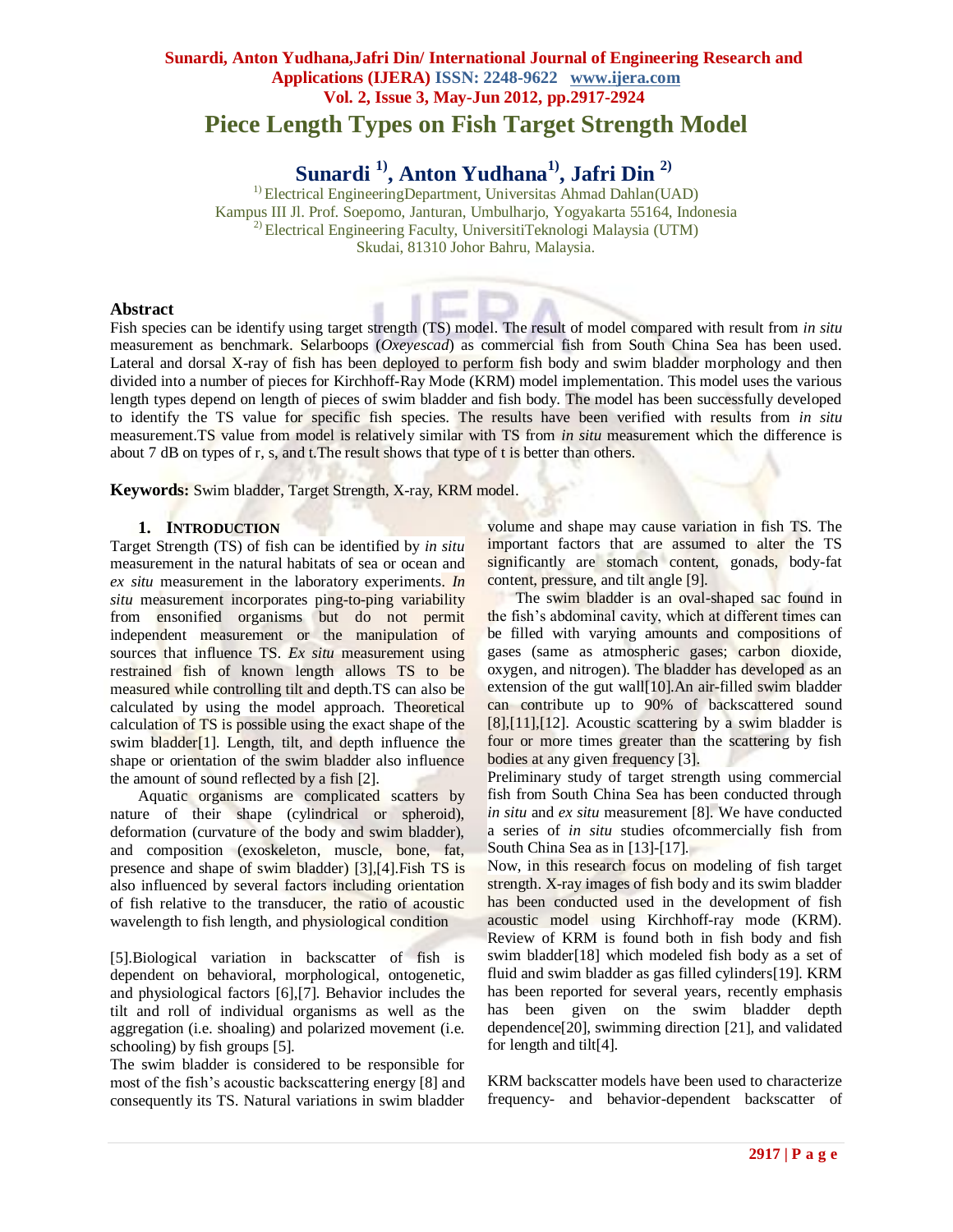# **Sunardi, Anton Yudhana,Jafri Din/ International Journal of Engineering Research and Applications (IJERA) ISSN: 2248-9622 www.ijera.com Vol. 2, Issue 3, May-Jun 2012, pp.2917-2924 Piece Length Types on Fish Target Strength Model**

# **Sunardi 1) , Anton Yudhana1) , Jafri Din 2)**

 $<sup>1</sup>$  Electrical EngineeringDepartment, Universitas Ahmad Dahlan(UAD)</sup> Kampus III Jl. Prof. Soepomo, Janturan, Umbulharjo, Yogyakarta 55164, Indonesia <sup>2)</sup> Electrical Engineering Faculty, UniversitiTeknologi Malaysia (UTM) Skudai, 81310 Johor Bahru, Malaysia.

#### **Abstract**

Fish species can be identify using target strength (TS) model. The result of model compared with result from *in situ* measurement as benchmark. Selarboops (*Oxeyescad*) as commercial fish from South China Sea has been used. Lateral and dorsal X-ray of fish has been deployed to perform fish body and swim bladder morphology and then divided into a number of pieces for Kirchhoff-Ray Mode (KRM) model implementation. This model uses the various length types depend on length of pieces of swim bladder and fish body. The model has been successfully developed to identify the TS value for specific fish species. The results have been verified with results from *in situ* measurement.TS value from model is relatively similar with TS from *in situ* measurement which the difference is about 7 dB on types of r, s, and t.The result shows that type of t is better than others.

**Keywords:** Swim bladder, Target Strength, X-ray, KRM model.

## **1. INTRODUCTION**

Target Strength (TS) of fish can be identified by *in situ* measurement in the natural habitats of sea or ocean and *ex situ* measurement in the laboratory experiments. *In situ* measurement incorporates ping-to-ping variability from ensonified organisms but do not permit independent measurement or the manipulation of sources that influence TS. *Ex situ* measurement using restrained fish of known length allows TS to be measured while controlling tilt and depth.TS can also be calculated by using the model approach. Theoretical calculation of TS is possible using the exact shape of the swim bladder[1]. Length, tilt, and depth influence the shape or orientation of the swim bladder also influence the amount of sound reflected by a fish [2].

Aquatic organisms are complicated scatters by nature of their shape (cylindrical or spheroid), deformation (curvature of the body and swim bladder), and composition (exoskeleton, muscle, bone, fat, presence and shape of swim bladder) [3],[4].Fish TS is also influenced by several factors including orientation of fish relative to the transducer, the ratio of acoustic wavelength to fish length, and physiological condition

[5].Biological variation in backscatter of fish is dependent on behavioral, morphological, ontogenetic, and physiological factors [6],[7]. Behavior includes the tilt and roll of individual organisms as well as the aggregation (i.e. shoaling) and polarized movement (i.e. schooling) by fish groups [5].

The swim bladder is considered to be responsible for most of the fish's acoustic backscattering energy [8] and consequently its TS. Natural variations in swim bladder

volume and shape may cause variation in fish TS. The important factors that are assumed to alter the TS significantly are stomach content, gonads, body-fat content, pressure, and tilt angle [9].

The swim bladder is an oval-shaped sac found in the fish's abdominal cavity, which at different times can be filled with varying amounts and compositions of gases (same as atmospheric gases; carbon dioxide, oxygen, and nitrogen). The bladder has developed as an extension of the gut wall[10].An air-filled swim bladder can contribute up to 90% of backscattered sound  $[8]$ , $[11]$ , $[12]$ . Acoustic scattering by a swim bladder is four or more times greater than the scattering by fish bodies at any given frequency [3].

Preliminary study of target strength using commercial fish from South China Sea has been conducted through *in situ* and *ex situ* measurement [8]. We have conducted a series of *in situ* studies ofcommercially fish from South China Sea as in [13]-[17].

Now, in this research focus on modeling of fish target strength. X-ray images of fish body and its swim bladder has been conducted used in the development of fish acoustic model using Kirchhoff-ray mode (KRM). Review of KRM is found both in fish body and fish swim bladder[18] which modeled fish body as a set of fluid and swim bladder as gas filled cylinders[19]. KRM has been reported for several years, recently emphasis has been given on the swim bladder depth dependence[20], swimming direction [21], and validated for length and tilt[4].

KRM backscatter models have been used to characterize frequency- and behavior-dependent backscatter of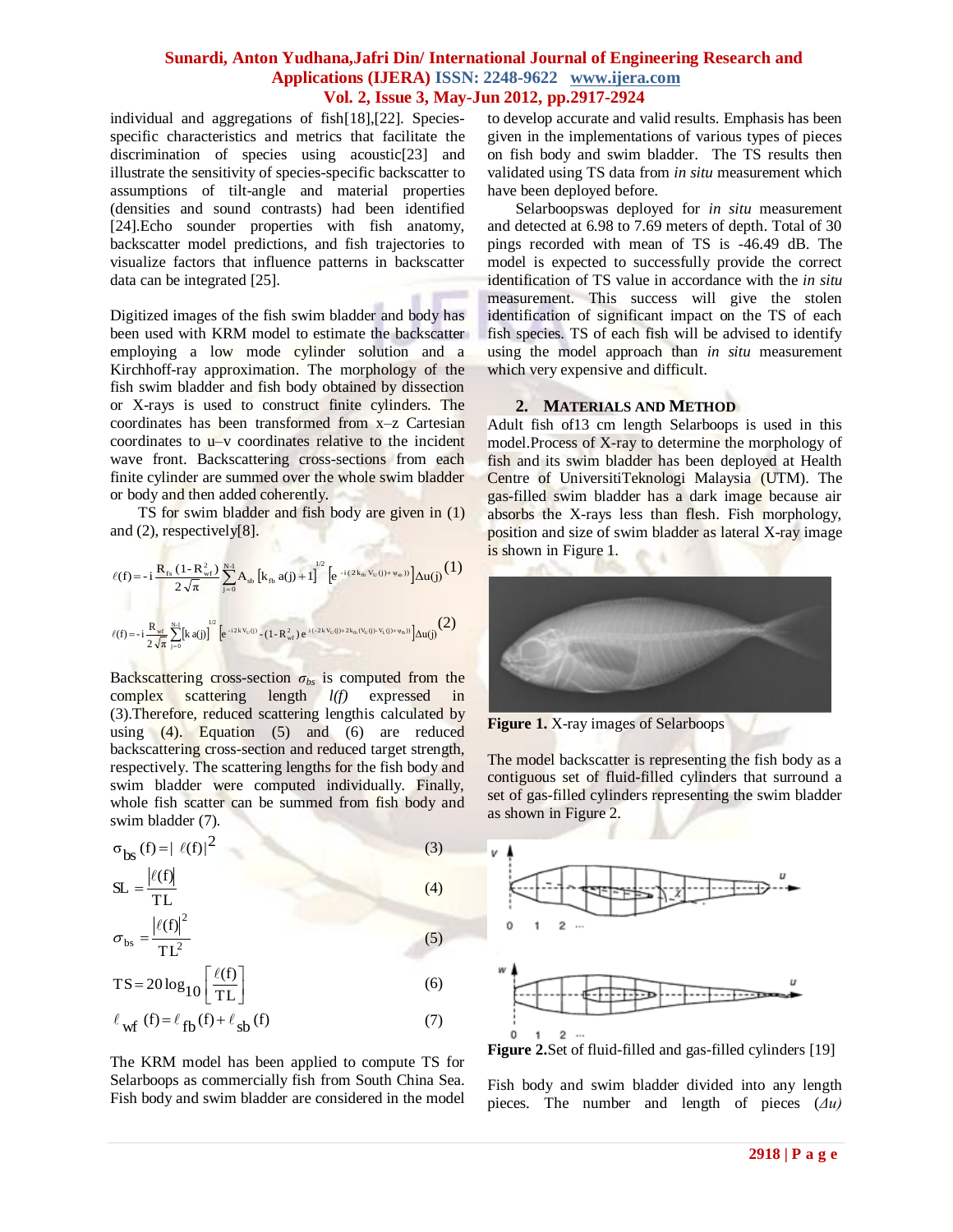individual and aggregations of fish[18],[22]. Speciesspecific characteristics and metrics that facilitate the discrimination of species using acoustic[23] and illustrate the sensitivity of species-specific backscatter to assumptions of tilt-angle and material properties (densities and sound contrasts) had been identified [24].Echo sounder properties with fish anatomy, backscatter model predictions, and fish trajectories to visualize factors that influence patterns in backscatter data can be integrated [25].

Digitized images of the fish swim bladder and body has been used with KRM model to estimate the backscatter employing a low mode cylinder solution and a Kirchhoff-ray approximation. The morphology of the fish swim bladder and fish body obtained by dissection or X-rays is used to construct finite cylinders. The coordinates has been transformed from x–z Cartesian coordinates to u–v coordinates relative to the incident wave front. Backscattering cross-sections from each finite cylinder are summed over the whole swim bladder or body and then added coherently.

TS for swim bladder and fish body are given in (1) and (2), respectively[8].

$$
\begin{split} \ell(f) & = -i\,\frac{R_{r_s}\,(1-R_{wf}^2)}{2\,\sqrt{\pi}}\sum_{j=0}^{N\!-\!1}A_{sb}\left[k_{r_b}\,a(j)+1\right]^{1/2}\Big[e^{-i\,(2k_{r_b}\,v_{U}(j)+\psi_{sb}))}\Big]\Delta u(j)\,\frac{(1)}{2}\\[1ex] \ell(f) & = -i\,\frac{R_{wf}}{2\,\sqrt{\pi}}\sum_{j=0}^{N\!-\!1}\bigl[k\,a(j)\bigr]^{1/2}\Big[e^{-i\,2k\,V_{U}(j)}-(1-R_{wf}^2)\,e^{-i\,(2\,k\,V_{U}(j)+2k_{b}\,(V_{U}(j)+V_{L}(j)+\psi_{sb}))}\Bigr]\Delta u(j)\,\frac{(2)}{2\,\sqrt{\pi}}\end{split}
$$

Backscattering cross-section  $\sigma_{bs}$  is computed from the complex scattering length *l(f)* expressed in (3).Therefore, reduced scattering lengthis calculated by using  $(4)$ . Equation  $(5)$  and  $(6)$  are reduced backscattering cross-section and reduced target strength, respectively. The scattering lengths for the fish body and swim bladder were computed individually. Finally, whole fish scatter can be summed from fish body and swim bladder (7).

$$
\sigma_{\mathbf{b}s} (f) = |\ell(f)|^2 \tag{3}
$$

$$
SL = \frac{|\ell(f)|}{TL}
$$
 (4)

$$
\sigma_{\rm bs} = \frac{\left| \ell(f) \right|^2}{TL^2} \tag{5}
$$

$$
TS = 20 \log_{10} \left[ \frac{\ell(f)}{TL} \right] \tag{6}
$$

$$
\ell_{\text{wf}}\text{ (f)} = \ell_{\text{fb}}\text{(f)} + \ell_{\text{sb}}\text{(f)}
$$
 (7)

The KRM model has been applied to compute TS for Selarboops as commercially fish from South China Sea. Fish body and swim bladder are considered in the model to develop accurate and valid results. Emphasis has been given in the implementations of various types of pieces on fish body and swim bladder. The TS results then validated using TS data from *in situ* measurement which have been deployed before.

Selarboopswas deployed for *in situ* measurement and detected at 6.98 to 7.69 meters of depth. Total of 30 pings recorded with mean of TS is -46.49 dB. The model is expected to successfully provide the correct identification of TS value in accordance with the *in situ* measurement. This success will give the stolen identification of significant impact on the TS of each fish species. TS of each fish will be advised to identify using the model approach than *in situ* measurement which very expensive and difficult.

## **2. MATERIALS AND METHOD**

Adult fish of13 cm length Selarboops is used in this model.Process of X-ray to determine the morphology of fish and its swim bladder has been deployed at Health Centre of UniversitiTeknologi Malaysia (UTM). The gas-filled swim bladder has a dark image because air absorbs the X-rays less than flesh. Fish morphology, position and size of swim bladder as lateral X-ray image is shown in Figure 1.



**Figure 1.** X-ray images of Selarboops

The model backscatter is representing the fish body as a contiguous set of fluid-filled cylinders that surround a set of gas-filled cylinders representing the swim bladder as shown in Figure 2.



**Figure 2.**Set of fluid-filled and gas-filled cylinders [19]

Fish body and swim bladder divided into any length pieces. The number and length of pieces (*Δu)*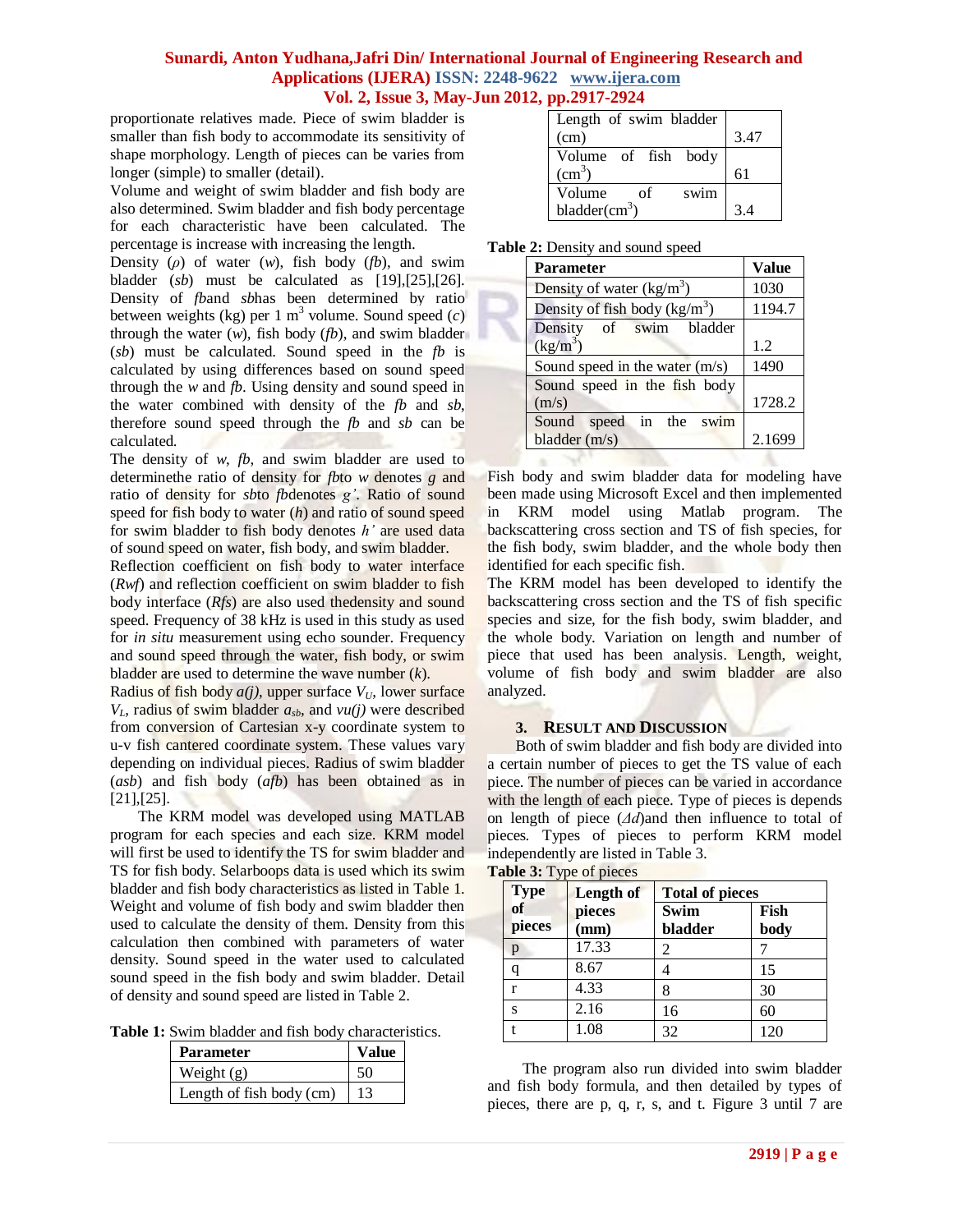proportionate relatives made. Piece of swim bladder is smaller than fish body to accommodate its sensitivity of shape morphology. Length of pieces can be varies from longer (simple) to smaller (detail).

Volume and weight of swim bladder and fish body are also determined. Swim bladder and fish body percentage for each characteristic have been calculated. The percentage is increase with increasing the length.

Density (*ρ*) of water (*w*), fish body (*fb*), and swim bladder (*sb*) must be calculated as [19],[25],[26]. Density of *fb*and *sb*has been determined by ratio between weights (kg) per 1  $m<sup>3</sup>$  volume. Sound speed (c) through the water (*w*), fish body (*fb*), and swim bladder (*sb*) must be calculated. Sound speed in the *fb* is calculated by using differences based on sound speed through the *w* and *fb*. Using density and sound speed in the water combined with density of the *fb* and *sb*, therefore sound speed through the *fb* and *sb* can be calculated.

The density of *w*, *fb*, and swim bladder are used to determinethe ratio of density for *fb*to *w* denotes *g* and ratio of density for *sb*to *fb*denotes *g'*. Ratio of sound speed for fish body to water (*h*) and ratio of sound speed for swim bladder to fish body denotes *h'* are used data of sound speed on water, fish body, and swim bladder.

Reflection coefficient on fish body to water interface (*Rwf*) and reflection coefficient on swim bladder to fish body interface (*Rfs*) are also used thedensity and sound speed. Frequency of 38 kHz is used in this study as used for *in situ* measurement using echo sounder. Frequency and sound speed through the water, fish body, or swim bladder are used to determine the wave number (*k*).

Radius of fish body  $a(j)$ , upper surface  $V_U$ , lower surface  $V_L$ , radius of swim bladder  $a_{sb}$ , and  $vu(j)$  were described from conversion of Cartesian x-y coordinate system to u-v fish cantered coordinate system. These values vary depending on individual pieces. Radius of swim bladder (*asb*) and fish body (*afb*) has been obtained as in [21],[25].

The KRM model was developed using MATLAB program for each species and each size. KRM model will first be used to identify the TS for swim bladder and TS for fish body. Selarboops data is used which its swim bladder and fish body characteristics as listed in Table 1. Weight and volume of fish body and swim bladder then used to calculate the density of them. Density from this calculation then combined with parameters of water density. Sound speed in the water used to calculated sound speed in the fish body and swim bladder. Detail of density and sound speed are listed in Table 2.

**Table 1:** Swim bladder and fish body characteristics.

| <b>Parameter</b>         | <b>Value</b> |
|--------------------------|--------------|
| Weight $(g)$             |              |
| Length of fish body (cm) |              |

| Length of swim bladder |      |
|------------------------|------|
| (cm)                   | 3.47 |
| Volume of fish body    |      |
| $\text{cm}^3$ )        | 61   |
| Volume<br>swim<br>of   |      |
| bladder $(cm3)$        | 3.4  |

**Table 2:** Density and sound speed

| <b>Parameter</b>                 | <b>Value</b> |
|----------------------------------|--------------|
| Density of water $(kg/m3)$       | 1030         |
| Density of fish body $(kg/m^3)$  | 1194.7       |
| Density of swim bladder          |              |
| $(kg/m^3)$                       | 1.2          |
| Sound speed in the water $(m/s)$ | 1490         |
| Sound speed in the fish body     |              |
| (m/s)                            | 1728.2       |
| Sound speed in the swim          |              |
| bladder (m/s)                    | 2.1699       |
|                                  |              |

Fish body and swim bladder data for modeling have been made using Microsoft Excel and then implemented in KRM model using Matlab program. The backscattering cross section and TS of fish species, for the fish body, swim bladder, and the whole body then identified for each specific fish.

The KRM model has been developed to identify the backscattering cross section and the TS of fish specific species and size, for the fish body, swim bladder, and the whole body. Variation on length and number of piece that used has been analysis. Length, weight, volume of fish body and swim bladder are also analyzed.

#### **3. RESULT AND DISCUSSION**

Both of swim bladder and fish body are divided into a certain number of pieces to get the TS value of each piece. The number of pieces can be varied in accordance with the length of each piece. Type of pieces is depends on length of piece (*Δd*)and then influence to total of pieces*.* Types of pieces to perform KRM model independently are listed in Table 3. **Table 3:** Type of pieces

| $\frac{1}{2}$ |           |                        |      |  |  |  |
|---------------|-----------|------------------------|------|--|--|--|
| <b>Type</b>   | Length of | <b>Total of pieces</b> |      |  |  |  |
| of            | pieces    | <b>Swim</b>            | Fish |  |  |  |
| pieces        | (mm)      | bladder                | body |  |  |  |
| p             | 17.33     | 2                      |      |  |  |  |
| q             | 8.67      |                        | 15   |  |  |  |
| r             | 4.33      | 8                      | 30   |  |  |  |
| S             | 2.16      | 16                     | 60   |  |  |  |
|               | 1.08      | 32                     | 120  |  |  |  |

The program also run divided into swim bladder and fish body formula, and then detailed by types of pieces, there are p, q, r, s, and t. Figure 3 until 7 are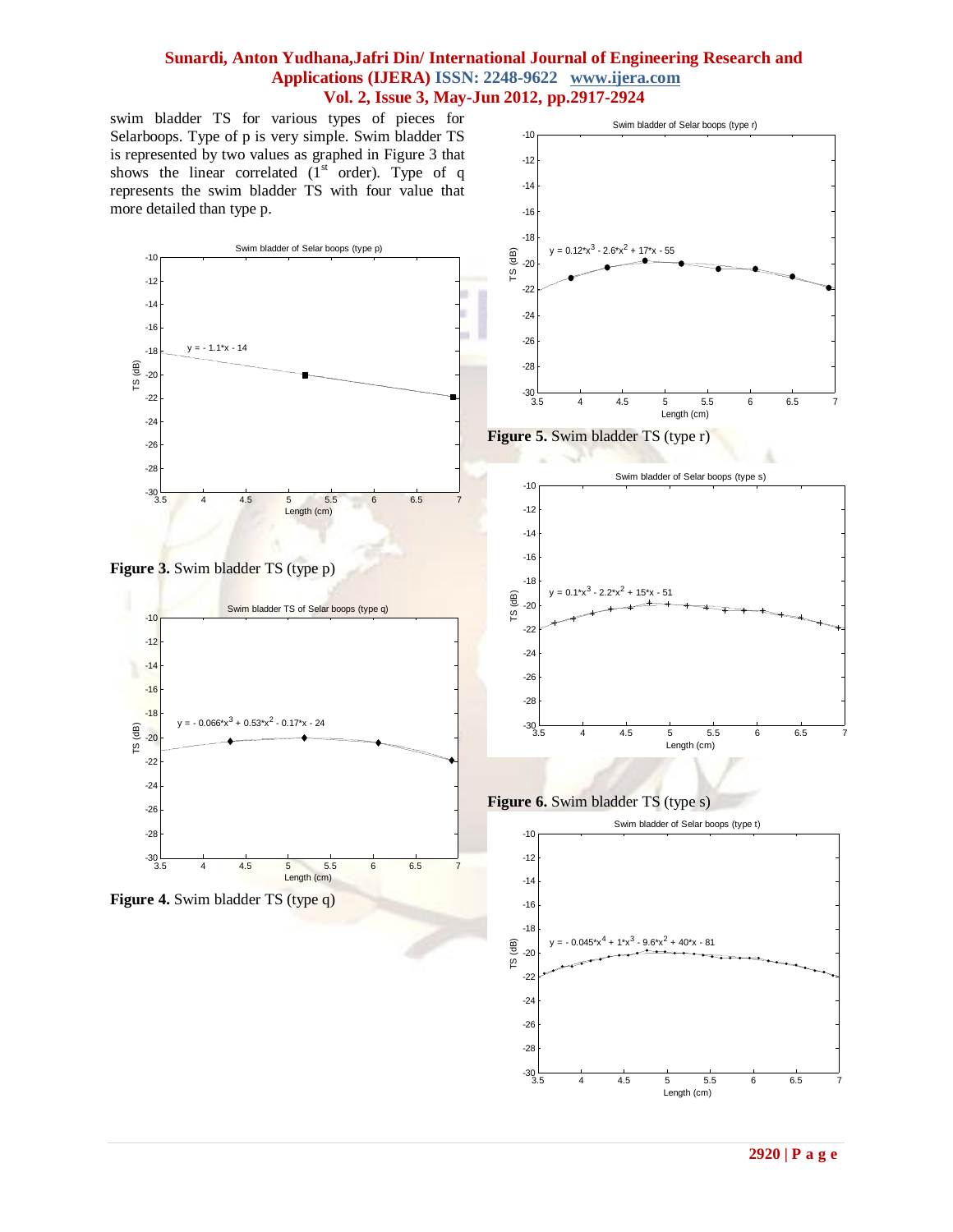swim bladder TS for various types of pieces for Selarboops. Type of p is very simple. Swim bladder TS is represented by two values as graphed in Figure 3 that shows the linear correlated  $(I<sup>st</sup> order)$ . Type of q represents the swim bladder TS with four value that more detailed than type p.









**Figure 5.** Swim bladder TS (type r)



**Figure 6.** Swim bladder TS (type s)

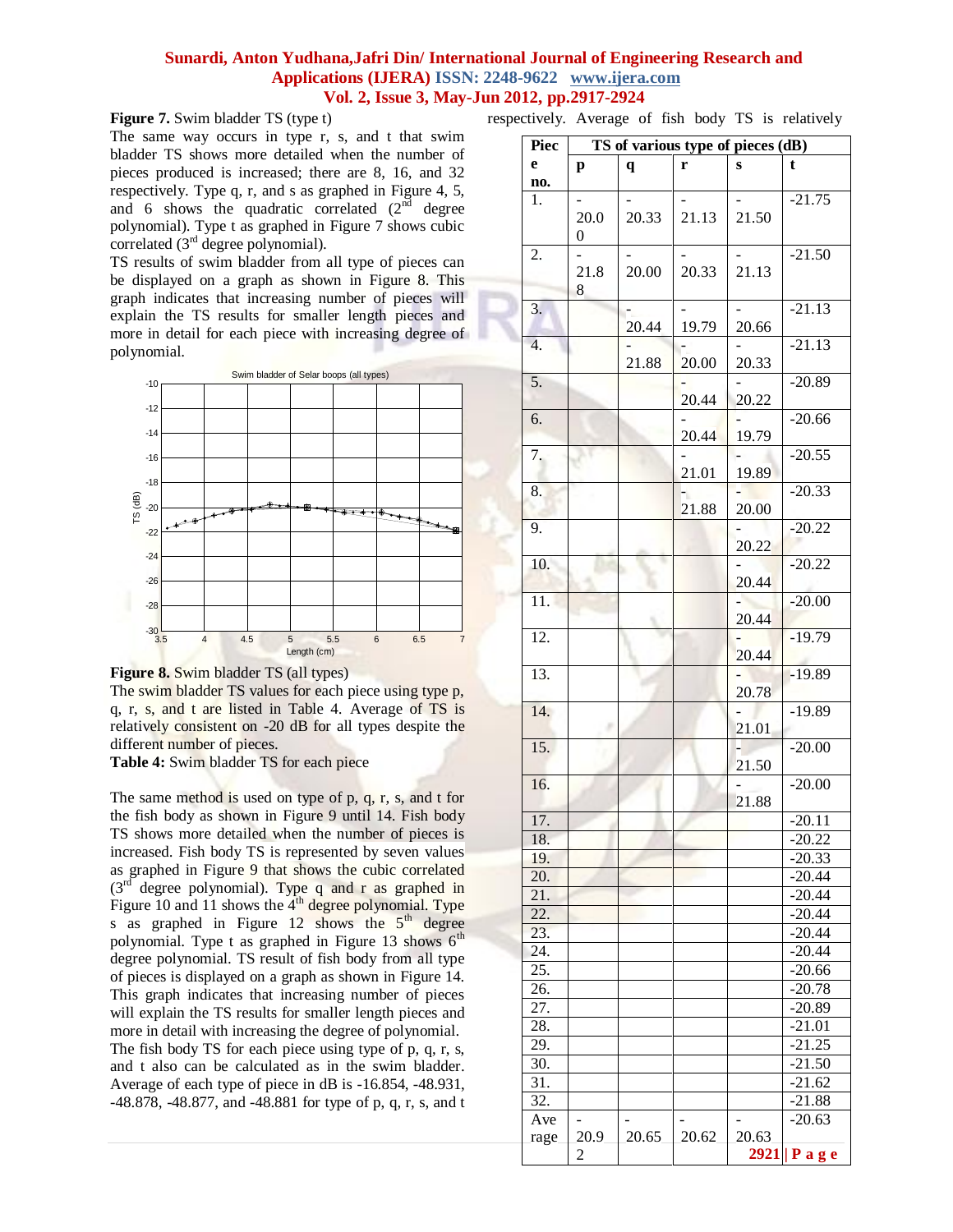**Figure 7.** Swim bladder TS (type t)

The same way occurs in type r, s, and t that swim bladder TS shows more detailed when the number of pieces produced is increased; there are 8, 16, and 32 respectively. Type q, r, and s as graphed in Figure 4, 5, and 6 shows the quadratic correlated  $(2<sup>nd</sup>$  degree polynomial). Type t as graphed in Figure 7 shows cubic correlated  $(3<sup>rd</sup>$  degree polynomial).

TS results of swim bladder from all type of pieces can be displayed on a graph as shown in Figure 8. This graph indicates that increasing number of pieces will explain the TS results for smaller length pieces and more in detail for each piece with increasing degree of polynomial.



**Figure 8.** Swim bladder TS (all types)

The swim bladder TS values for each piece using type p, q, r, s, and t are listed in Table 4. Average of TS is relatively consistent on -20 dB for all types despite the different number of pieces.

**Table 4:** Swim bladder TS for each piece

The same method is used on type of  $p$ ,  $q$ ,  $r$ ,  $s$ , and  $t$  for the fish body as shown in Figure 9 until 14. Fish body TS shows more detailed when the number of pieces is increased. Fish body TS is represented by seven values as graphed in Figure 9 that shows the cubic correlated  $(3<sup>rd</sup>$  degree polynomial). Type q and r as graphed in Figure 10 and 11 shows the  $4<sup>th</sup>$  degree polynomial. Type s as graphed in Figure  $12$  shows the  $5<sup>th</sup>$  degree polynomial. Type t as graphed in Figure 13 shows  $6<sup>th</sup>$ degree polynomial. TS result of fish body from all type of pieces is displayed on a graph as shown in Figure 14. This graph indicates that increasing number of pieces will explain the TS results for smaller length pieces and more in detail with increasing the degree of polynomial. The fish body TS for each piece using type of p, q, r, s, and t also can be calculated as in the swim bladder. Average of each type of piece in dB is -16.854, -48.931, -48.878, -48.877, and -48.881 for type of p, q, r, s, and t respectively. Average of fish body TS is relatively

| Piec              | TS of various type of pieces (dB) |       |       |       |                      |
|-------------------|-----------------------------------|-------|-------|-------|----------------------|
| e                 | p                                 | q     | r     | S     | t                    |
| no.               |                                   |       |       |       |                      |
| 1.                |                                   |       |       |       | $-21.75$             |
|                   | 20.0                              | 20.33 | 21.13 | 21.50 |                      |
|                   | 0                                 |       |       |       |                      |
| 2.                |                                   |       |       |       | $-21.50$             |
|                   | 21.8                              | 20.00 | 20.33 | 21.13 |                      |
|                   | 8                                 |       |       |       |                      |
| 3.                |                                   |       |       |       | $-21.13$             |
|                   |                                   | 20.44 | 19.79 | 20.66 |                      |
| 4.                |                                   |       |       |       | $-21.13$             |
|                   |                                   | 21.88 | 20.00 | 20.33 |                      |
| 5.                |                                   |       |       |       | $-20.89$             |
|                   |                                   |       | 20.44 | 20.22 |                      |
| 6.                |                                   |       | 20.44 | 19.79 | $-20.66$             |
|                   |                                   |       |       |       | $-20.55$             |
| 7.                |                                   |       | 21.01 | 19.89 |                      |
| 8.                |                                   |       |       |       | $-20.33$             |
|                   |                                   |       | 21.88 | 20.00 |                      |
| 9.                |                                   |       |       |       | $-20.22$             |
|                   |                                   |       |       | 20.22 |                      |
| 10.               |                                   |       |       |       | $-20.22$             |
|                   |                                   |       |       | 20.44 |                      |
| $\overline{11}$ . |                                   |       |       |       | $-20.00$             |
|                   |                                   |       |       | 20.44 |                      |
| 12.               |                                   |       |       |       | $-19.79$             |
|                   |                                   |       |       | 20.44 |                      |
| 13.               |                                   |       |       |       | $-19.89$             |
|                   |                                   |       |       | 20.78 |                      |
| 14.               |                                   |       |       |       | $-19.89$             |
|                   |                                   |       |       | 21.01 |                      |
| 15.               |                                   |       |       |       | $-20.00$             |
|                   |                                   |       |       | 21.50 |                      |
| 16.               |                                   |       |       |       | $-20.00$             |
|                   |                                   |       |       | 21.88 |                      |
| 17.               |                                   |       |       |       | $-20.11$             |
| 18.               |                                   |       |       |       | $-20.22$             |
| 19.               |                                   |       |       |       | $-20.33$             |
| 20.<br>21.        |                                   |       |       |       | $-20.44$<br>$-20.44$ |
| $\overline{22}$ . |                                   |       |       |       | $-20.44$             |
| 23.               |                                   |       |       |       | $-20.44$             |
| 24.               |                                   |       |       |       | $-20.44$             |
| 25.               |                                   |       |       |       | $-20.66$             |
| 26.               |                                   |       |       |       | $-20.78$             |
| 27.               |                                   |       |       |       | $-20.89$             |
| 28.               |                                   |       |       |       | $-21.01$             |
| 29.               |                                   |       |       |       | $-21.25$             |
| 30.               |                                   |       |       |       | $-21.50$             |
| $\overline{3}1.$  |                                   |       |       |       | $-21.62$             |
| 32.               |                                   |       |       |       | $-21.88$             |
| Ave               |                                   |       |       |       | $-20.63$             |
| rage              | 20.9                              | 20.65 | 20.62 | 20.63 |                      |
|                   | $\overline{c}$                    |       |       |       | 2921   Page          |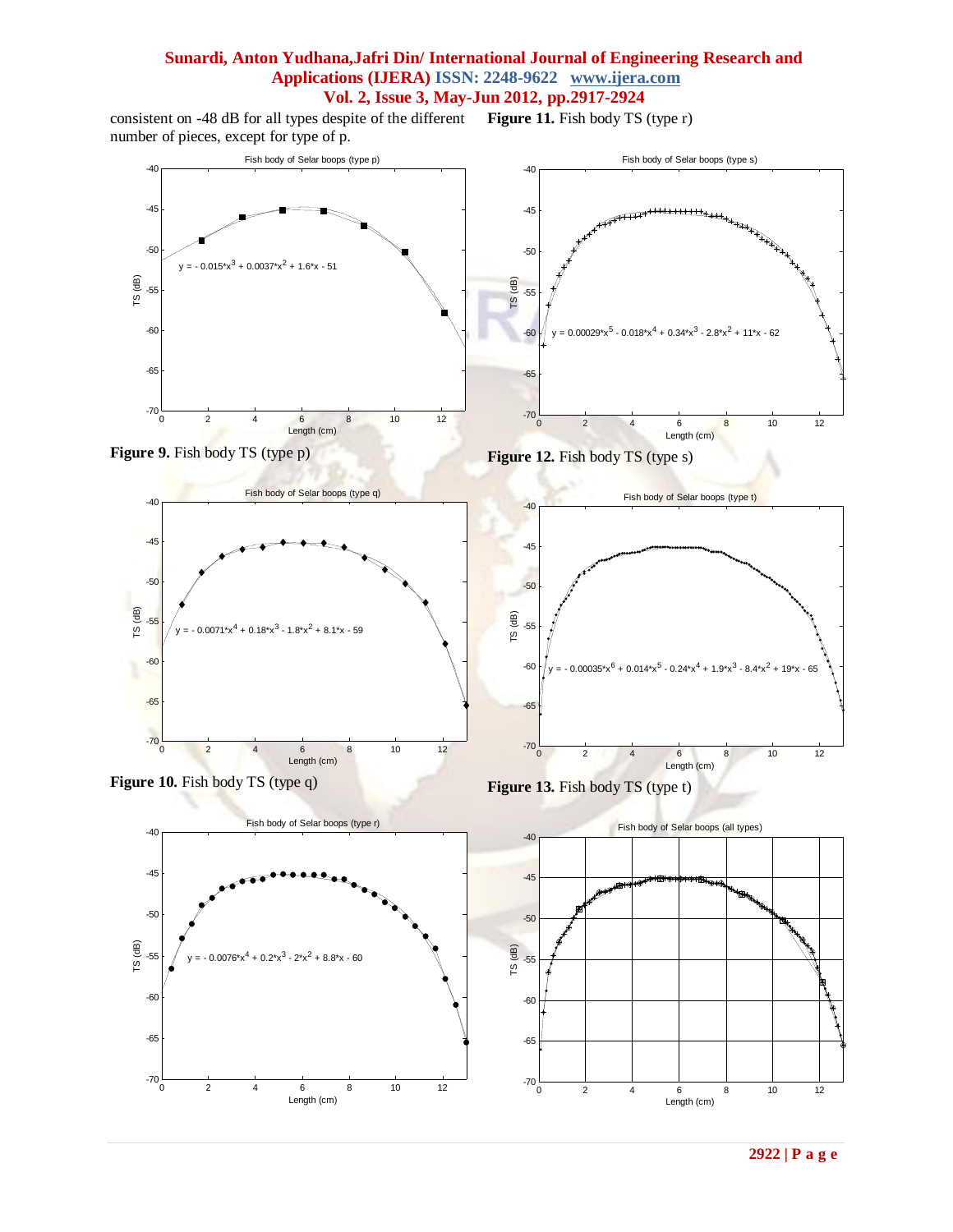consistent on -48 dB for all types despite of the different **Figure 11.** Fish body TS (type r) number of pieces, except for type of p.

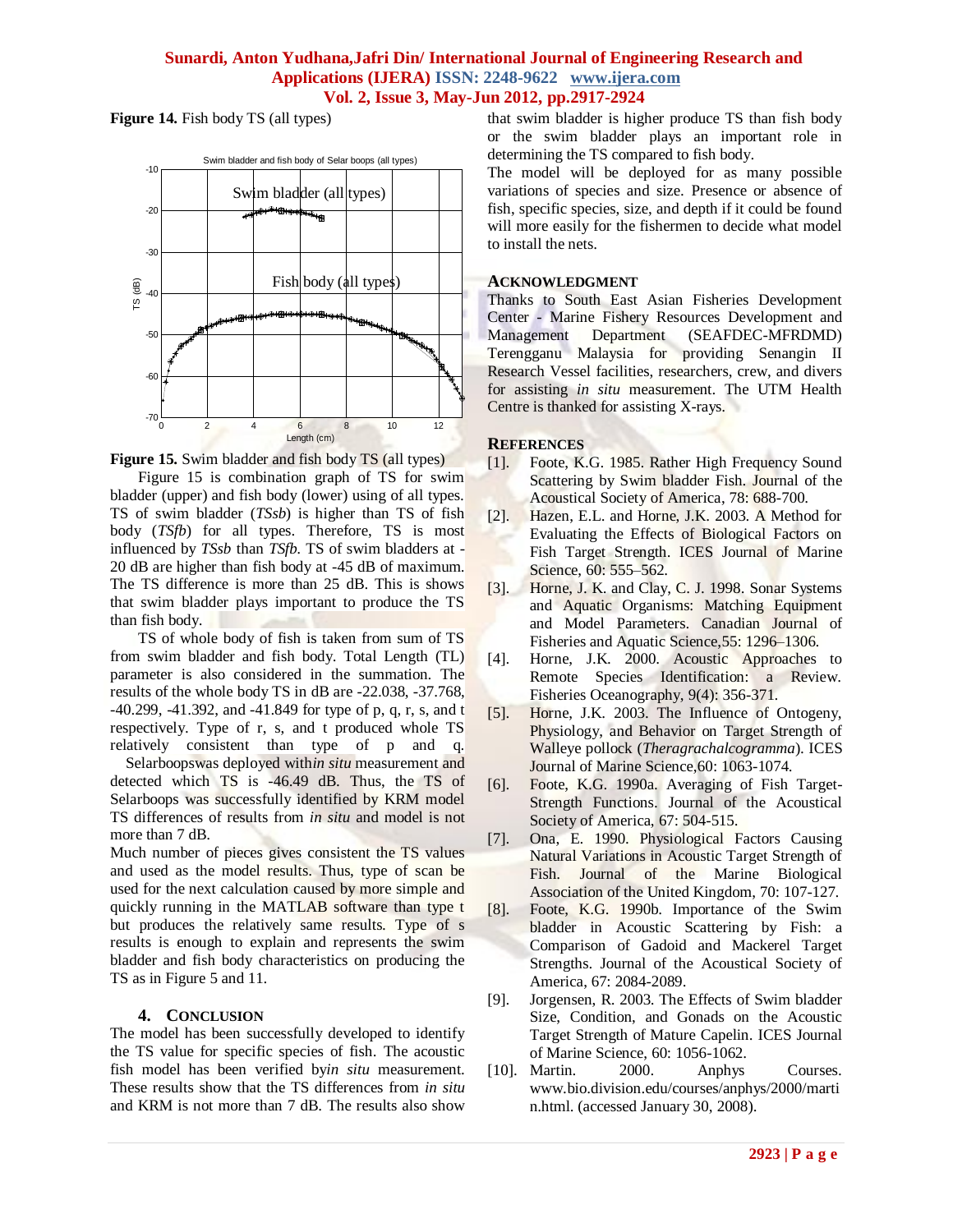**Figure 14.** Fish body TS (all types)



**Figure 15.** Swim bladder and fish body TS (all types)

Figure 15 is combination graph of TS for swim bladder (upper) and fish body (lower) using of all types. TS of swim bladder (*TSsb*) is higher than TS of fish body (*TSfb*) for all types. Therefore, TS is most influenced by *TSsb* than *TSfb.* TS of swim bladders at - 20 dB are higher than fish body at -45 dB of maximum. The TS difference is more than 25 dB. This is shows that swim bladder plays important to produce the TS than fish body.

TS of whole body of fish is taken from sum of TS from swim bladder and fish body. Total Length (TL) parameter is also considered in the summation. The results of the whole body TS in dB are -22.038, -37.768, -40.299, -41.392, and -41.849 for type of p, q, r, s, and t respectively. Type of r, s, and t produced whole TS relatively consistent than type of p and q.

Selarboopswas deployed with*in situ* measurement and detected which TS is -46.49 dB. Thus, the TS of Selarboops was successfully identified by KRM model TS differences of results from *in situ* and model is not more than 7 dB.

Much number of pieces gives consistent the TS values and used as the model results. Thus, type of scan be used for the next calculation caused by more simple and quickly running in the MATLAB software than type t but produces the relatively same results. Type of s results is enough to explain and represents the swim bladder and fish body characteristics on producing the TS as in Figure 5 and 11.

# **4. CONCLUSION**

The model has been successfully developed to identify the TS value for specific species of fish. The acoustic fish model has been verified by*in situ* measurement. These results show that the TS differences from *in situ* and KRM is not more than 7 dB. The results also show that swim bladder is higher produce TS than fish body or the swim bladder plays an important role in determining the TS compared to fish body.

The model will be deployed for as many possible variations of species and size. Presence or absence of fish, specific species, size, and depth if it could be found will more easily for the fishermen to decide what model to install the nets.

## **ACKNOWLEDGMENT**

Thanks to South East Asian Fisheries Development Center - Marine Fishery Resources Development and Management Department (SEAFDEC-MFRDMD) Terengganu Malaysia for providing Senangin II Research Vessel facilities, researchers, crew, and divers for assisting *in situ* measurement. The UTM Health Centre is thanked for assisting X-rays.

## **REFERENCES**

- [1]. Foote, K.G. 1985. Rather High Frequency Sound Scattering by Swim bladder Fish. Journal of the Acoustical Society of America, 78: 688-700.
- [2]. Hazen, E.L. and Horne, J.K. 2003. A Method for Evaluating the Effects of Biological Factors on Fish Target Strength. ICES Journal of Marine Science, 60: 555–562.
- [3]. Horne, J. K. and Clay, C. J. 1998. Sonar Systems and Aquatic Organisms: Matching Equipment and Model Parameters. Canadian Journal of Fisheries and Aquatic Science,55: 1296–1306.
- [4]. Horne, J.K. 2000. Acoustic Approaches to Remote Species Identification: a Review. Fisheries Oceanography, 9(4): 356-371.
- [5]. Horne, J.K. 2003. The Influence of Ontogeny, Physiology, and Behavior on Target Strength of Walleye pollock (*Theragrachalcogramma*). ICES Journal of Marine Science,60: 1063-1074.
- [6]. Foote, K.G. 1990a. Averaging of Fish Target-Strength Functions. Journal of the Acoustical Society of America, 67: 504-515.
- [7]. Ona, E. 1990. Physiological Factors Causing Natural Variations in Acoustic Target Strength of Fish. Journal of the Marine Biological Association of the United Kingdom, 70: 107-127.
- [8]. Foote, K.G. 1990b. Importance of the Swim bladder in Acoustic Scattering by Fish: a Comparison of Gadoid and Mackerel Target Strengths. Journal of the Acoustical Society of America, 67: 2084-2089.
- [9]. Jorgensen, R. 2003. The Effects of Swim bladder Size, Condition, and Gonads on the Acoustic Target Strength of Mature Capelin. ICES Journal of Marine Science, 60: 1056-1062.
- [10]. Martin. 2000. Anphys Courses. www.bio.division.edu/courses/anphys/2000/marti n.html. (accessed January 30, 2008).